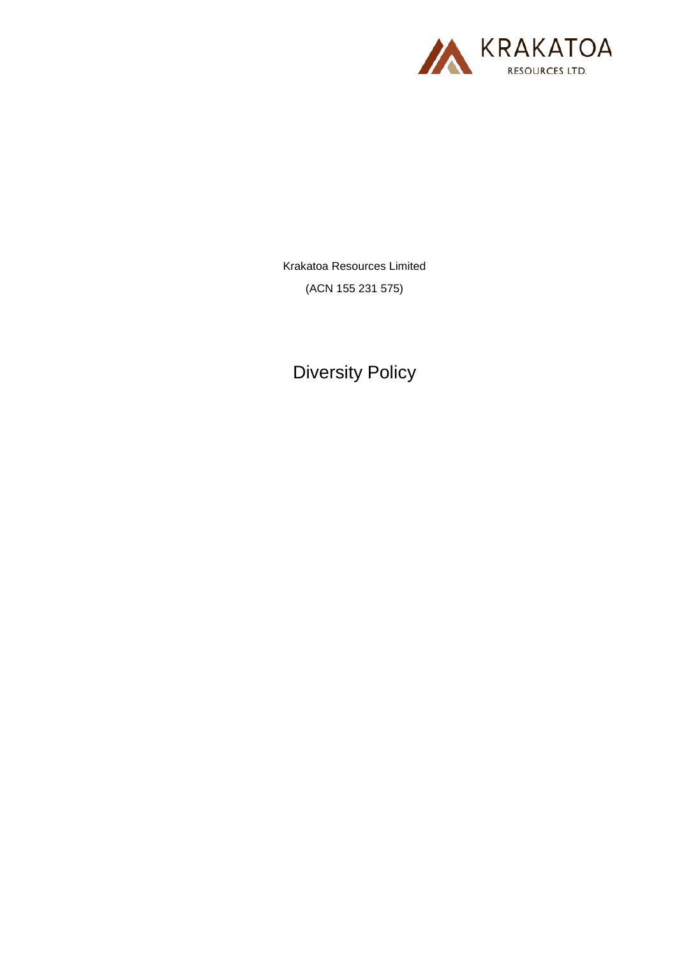

Krakatoa Resources Limited (ACN 155 231 575)

Diversity Policy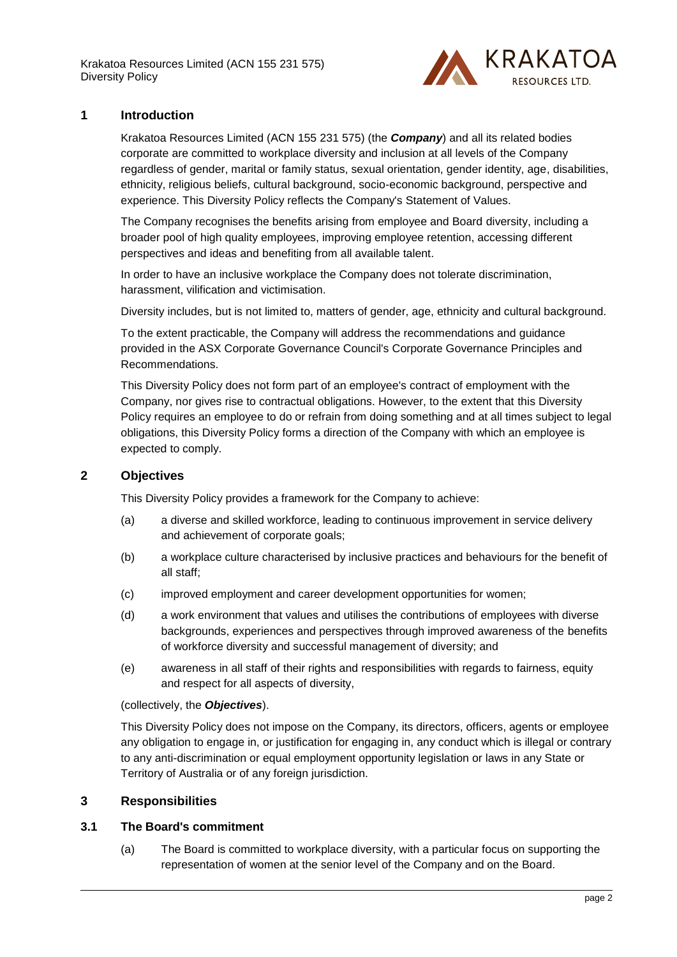Krakatoa Resources Limited (ACN 155 231 575) Diversity Policy



## **1 Introduction**

Krakatoa Resources Limited (ACN 155 231 575) (the *Company*) and all its related bodies corporate are committed to workplace diversity and inclusion at all levels of the Company regardless of gender, marital or family status, sexual orientation, gender identity, age, disabilities, ethnicity, religious beliefs, cultural background, socio-economic background, perspective and experience. This Diversity Policy reflects the Company's Statement of Values.

The Company recognises the benefits arising from employee and Board diversity, including a broader pool of high quality employees, improving employee retention, accessing different perspectives and ideas and benefiting from all available talent.

In order to have an inclusive workplace the Company does not tolerate discrimination, harassment, vilification and victimisation.

Diversity includes, but is not limited to, matters of gender, age, ethnicity and cultural background.

To the extent practicable, the Company will address the recommendations and guidance provided in the ASX Corporate Governance Council's Corporate Governance Principles and Recommendations.

This Diversity Policy does not form part of an employee's contract of employment with the Company, nor gives rise to contractual obligations. However, to the extent that this Diversity Policy requires an employee to do or refrain from doing something and at all times subject to legal obligations, this Diversity Policy forms a direction of the Company with which an employee is expected to comply.

### **2 Objectives**

This Diversity Policy provides a framework for the Company to achieve:

- (a) a diverse and skilled workforce, leading to continuous improvement in service delivery and achievement of corporate goals;
- (b) a workplace culture characterised by inclusive practices and behaviours for the benefit of all staff;
- (c) improved employment and career development opportunities for women;
- (d) a work environment that values and utilises the contributions of employees with diverse backgrounds, experiences and perspectives through improved awareness of the benefits of workforce diversity and successful management of diversity; and
- (e) awareness in all staff of their rights and responsibilities with regards to fairness, equity and respect for all aspects of diversity,

(collectively, the *Objectives*).

This Diversity Policy does not impose on the Company, its directors, officers, agents or employee any obligation to engage in, or justification for engaging in, any conduct which is illegal or contrary to any anti-discrimination or equal employment opportunity legislation or laws in any State or Territory of Australia or of any foreign jurisdiction.

#### **3 Responsibilities**

#### **3.1 The Board's commitment**

(a) The Board is committed to workplace diversity, with a particular focus on supporting the representation of women at the senior level of the Company and on the Board.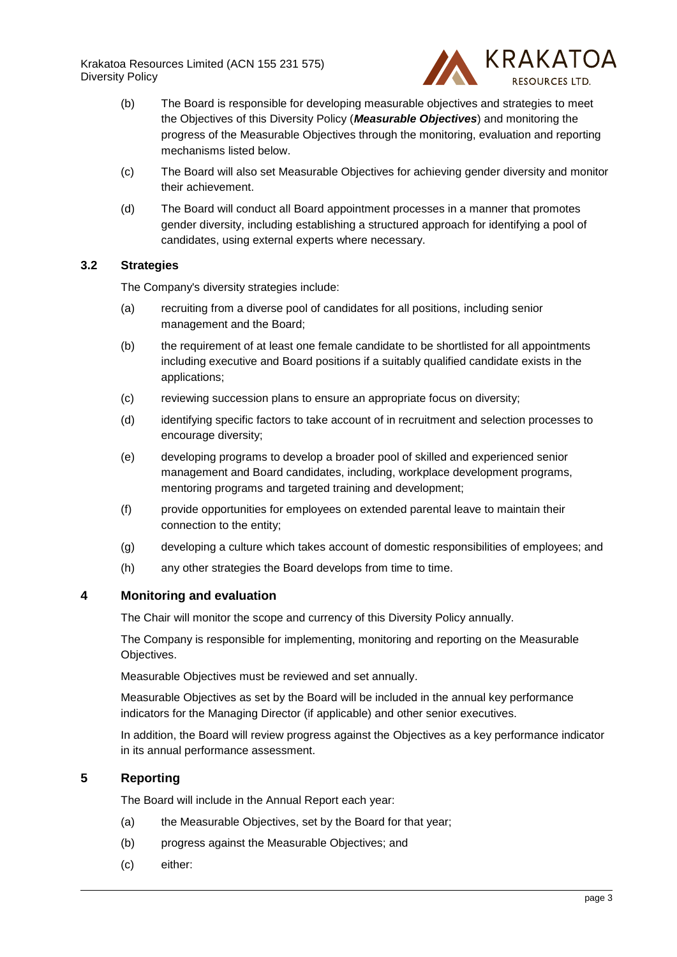Krakatoa Resources Limited (ACN 155 231 575) Diversity Policy



- (b) The Board is responsible for developing measurable objectives and strategies to meet the Objectives of this Diversity Policy (*Measurable Objectives*) and monitoring the progress of the Measurable Objectives through the monitoring, evaluation and reporting mechanisms listed below.
- (c) The Board will also set Measurable Objectives for achieving gender diversity and monitor their achievement.
- (d) The Board will conduct all Board appointment processes in a manner that promotes gender diversity, including establishing a structured approach for identifying a pool of candidates, using external experts where necessary.

## **3.2 Strategies**

The Company's diversity strategies include:

- (a) recruiting from a diverse pool of candidates for all positions, including senior management and the Board;
- (b) the requirement of at least one female candidate to be shortlisted for all appointments including executive and Board positions if a suitably qualified candidate exists in the applications;
- (c) reviewing succession plans to ensure an appropriate focus on diversity;
- (d) identifying specific factors to take account of in recruitment and selection processes to encourage diversity;
- (e) developing programs to develop a broader pool of skilled and experienced senior management and Board candidates, including, workplace development programs, mentoring programs and targeted training and development;
- (f) provide opportunities for employees on extended parental leave to maintain their connection to the entity;
- (g) developing a culture which takes account of domestic responsibilities of employees; and
- (h) any other strategies the Board develops from time to time.

#### **4 Monitoring and evaluation**

The Chair will monitor the scope and currency of this Diversity Policy annually.

The Company is responsible for implementing, monitoring and reporting on the Measurable Objectives.

Measurable Objectives must be reviewed and set annually.

Measurable Objectives as set by the Board will be included in the annual key performance indicators for the Managing Director (if applicable) and other senior executives.

In addition, the Board will review progress against the Objectives as a key performance indicator in its annual performance assessment.

# **5 Reporting**

The Board will include in the Annual Report each year:

- (a) the Measurable Objectives, set by the Board for that year;
- (b) progress against the Measurable Objectives; and
- (c) either: